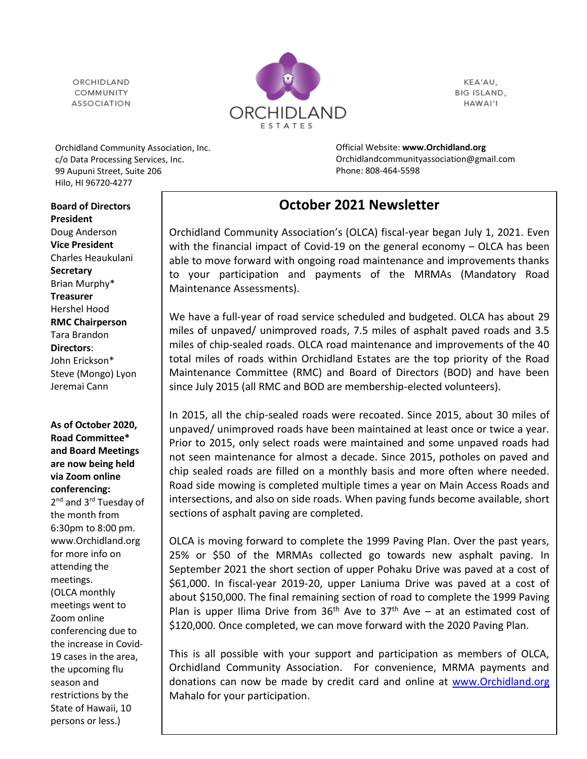ORCHIDI AND COMMUNITY **ASSOCIATION** 



KEA'AU, BIG ISLAND, HAWAI'I

Orchidland Community Association, Inc. c/o Data Processing Services, Inc. 99 Aupuni Street, Suite 206 Hilo, HI 96720-4277

Official Website: **[www.Orchidland.org](http://www.orchidland.org/)** Orchidlandcommunityassociation@gmail.com Phone: 808-464-5598

## **October 2021 Newsletter**

Orchidland Community Association's (OLCA) fiscal-year began July 1, 2021. Even with the financial impact of Covid-19 on the general economy – OLCA has been able to move forward with ongoing road maintenance and improvements thanks to your participation and payments of the MRMAs (Mandatory Road Maintenance Assessments).

We have a full-year of road service scheduled and budgeted. OLCA has about 29 miles of unpaved/ unimproved roads, 7.5 miles of asphalt paved roads and 3.5 miles of chip-sealed roads. OLCA road maintenance and improvements of the 40 total miles of roads within Orchidland Estates are the top priority of the Road Maintenance Committee (RMC) and Board of Directors (BOD) and have been since July 2015 (all RMC and BOD are membership-elected volunteers).

In 2015, all the chip-sealed roads were recoated. Since 2015, about 30 miles of unpaved/ unimproved roads have been maintained at least once or twice a year. Prior to 2015, only select roads were maintained and some unpaved roads had not seen maintenance for almost a decade. Since 2015, potholes on paved and chip sealed roads are filled on a monthly basis and more often where needed. Road side mowing is completed multiple times a year on Main Access Roads and intersections, and also on side roads. When paving funds become available, short sections of asphalt paving are completed.

OLCA is moving forward to complete the 1999 Paving Plan. Over the past years, 25% or \$50 of the MRMAs collected go towards new asphalt paving. In September 2021 the short section of upper Pohaku Drive was paved at a cost of \$61,000. In fiscal-year 2019-20, upper Laniuma Drive was paved at a cost of about \$150,000. The final remaining section of road to complete the 1999 Paving Plan is upper Ilima Drive from  $36<sup>th</sup>$  Ave to  $37<sup>th</sup>$  Ave – at an estimated cost of \$120,000. Once completed, we can move forward with the 2020 Paving Plan.

This is all possible with your support and participation as members of OLCA, Orchidland Community Association. For convenience, MRMA payments and donations can now be made by credit card and online at [www.Orchidland.org](http://www.orchidland.org/)  Mahalo for your participation.

**Board of Directors President** Doug Anderson **Vice President** Charles Heaukulani **Secretary** Brian Murphy\* **Treasurer** Hershel Hood **RMC Chairperson** Tara Brandon **Directors**: John Erickson\* Steve (Mongo) Lyon Jeremai Cann

**As of October 2020, Road Committee\* and Board Meetings are now being held via Zoom online conferencing:** 2<sup>nd</sup> and 3<sup>rd</sup> Tuesday of the month from 6:30pm to 8:00 pm. [www.Orchidland.org](http://www.orchidland.org/) for more info on attending the meetings. (OLCA monthly meetings went to Zoom online conferencing due to the increase in Covid-19 cases in the area, the upcoming flu season and restrictions by the State of Hawaii, 10 persons or less.)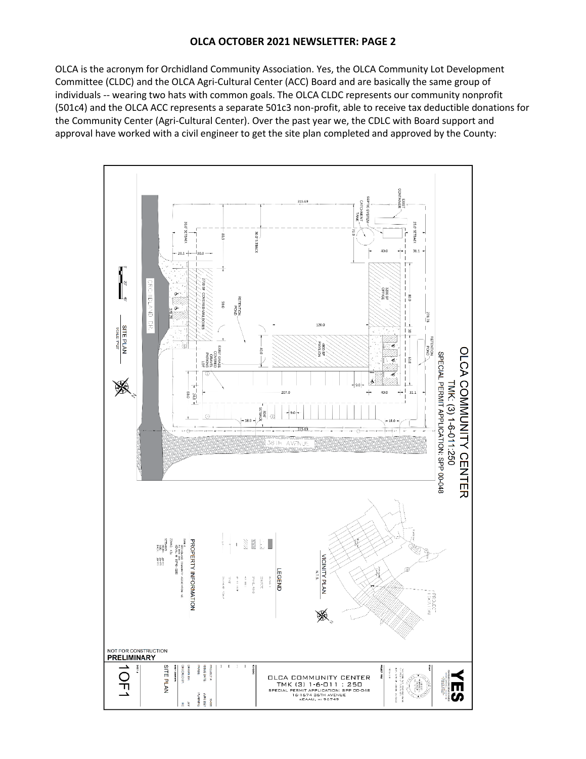## **OLCA OCTOBER 2021 NEWSLETTER: PAGE 2**

OLCA is the acronym for Orchidland Community Association. Yes, the OLCA Community Lot Development Committee (CLDC) and the OLCA Agri-Cultural Center (ACC) Board and are basically the same group of individuals -- wearing two hats with common goals. The OLCA CLDC represents our community nonprofit (501c4) and the OLCA ACC represents a separate 501c3 non-profit, able to receive tax deductible donations for the Community Center (Agri-Cultural Center). Over the past year we, the CDLC with Board support and approval have worked with a civil engineer to get the site plan completed and approved by the County:

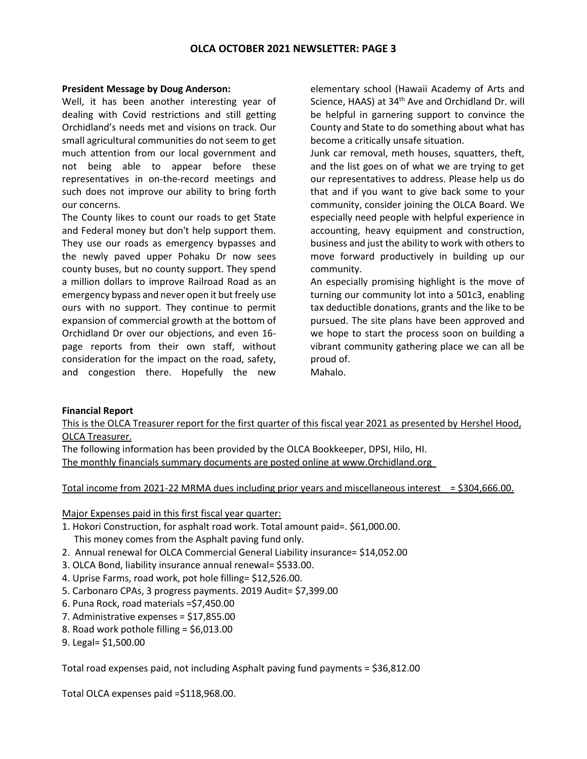## **President Message by Doug Anderson:**

Well, it has been another interesting year of dealing with Covid restrictions and still getting Orchidland's needs met and visions on track. Our small agricultural communities do not seem to get much attention from our local government and not being able to appear before these representatives in on-the-record meetings and such does not improve our ability to bring forth our concerns.

The County likes to count our roads to get State and Federal money but don't help support them. They use our roads as emergency bypasses and the newly paved upper Pohaku Dr now sees county buses, but no county support. They spend a million dollars to improve Railroad Road as an emergency bypass and never open it but freely use ours with no support. They continue to permit expansion of commercial growth at the bottom of Orchidland Dr over our objections, and even 16 page reports from their own staff, without consideration for the impact on the road, safety, and congestion there. Hopefully the new elementary school (Hawaii Academy of Arts and Science, HAAS) at  $34<sup>th</sup>$  Ave and Orchidland Dr. will be helpful in garnering support to convince the County and State to do something about what has become a critically unsafe situation.

Junk car removal, meth houses, squatters, theft, and the list goes on of what we are trying to get our representatives to address. Please help us do that and if you want to give back some to your community, consider joining the OLCA Board. We especially need people with helpful experience in accounting, heavy equipment and construction, business and just the ability to work with others to move forward productively in building up our community.

An especially promising highlight is the move of turning our community lot into a 501c3, enabling tax deductible donations, grants and the like to be pursued. The site plans have been approved and we hope to start the process soon on building a vibrant community gathering place we can all be proud of.

Mahalo.

## **Financial Report**

This is the OLCA Treasurer report for the first quarter of this fiscal year 2021 as presented by Hershel Hood, OLCA Treasurer.

The following information has been provided by the OLCA Bookkeeper, DPSI, Hilo, HI. The monthly financials summary documents are posted online at [www.Orchidland.org](http://www.orchidland.org/)

Total income from 2021-22 MRMA dues including prior years and miscellaneous interest = \$304,666.00.

Major Expenses paid in this first fiscal year quarter:

- 1. Hokori Construction, for asphalt road work. Total amount paid=. \$61,000.00. This money comes from the Asphalt paving fund only.
- 2. Annual renewal for OLCA Commercial General Liability insurance= \$14,052.00
- 3. OLCA Bond, liability insurance annual renewal= \$533.00.
- 4. Uprise Farms, road work, pot hole filling= \$12,526.00.
- 5. Carbonaro CPAs, 3 progress payments. 2019 Audit= \$7,399.00
- 6. Puna Rock, road materials =\$7,450.00
- 7. Administrative expenses = \$17,855.00
- 8. Road work pothole filling = \$6,013.00
- 9. Legal= \$1,500.00

Total road expenses paid, not including Asphalt paving fund payments = \$36,812.00

Total OLCA expenses paid =\$118,968.00.